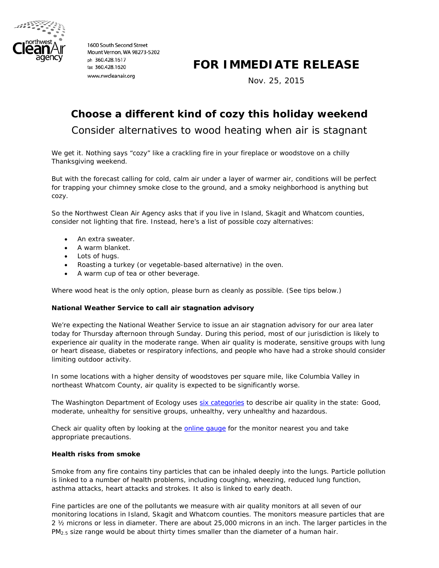

1600 South Second Street Mount Vernon, WA 98273-5202 ph 360.428.1617 fax 360.428.1620 www.nwcleanair.org

# **FOR IMMEDIATE RELEASE**

Nov. 25, 2015

# **Choose a different kind of cozy this holiday weekend**

Consider alternatives to wood heating when air is stagnant

We get it. Nothing says "cozy" like a crackling fire in your fireplace or woodstove on a chilly Thanksgiving weekend.

But with the forecast calling for cold, calm air under a layer of warmer air, conditions will be perfect for trapping your chimney smoke close to the ground, and a smoky neighborhood is anything but cozy.

So the Northwest Clean Air Agency asks that if you live in Island, Skagit and Whatcom counties, consider not lighting that fire. Instead, here's a list of possible cozy alternatives:

- An extra sweater.
- A warm blanket.
- Lots of hugs.
- Roasting a turkey (or vegetable-based alternative) in the oven.
- A warm cup of tea or other beverage.

Where wood heat is the only option, please burn as cleanly as possible. (See tips below.)

# **National Weather Service to call air stagnation advisory**

We're expecting the National Weather Service to issue an air stagnation advisory for our area later today for Thursday afternoon through Sunday. During this period, most of our jurisdiction is likely to experience air quality in the moderate range. When air quality is moderate, sensitive groups with lung or heart disease, diabetes or respiratory infections, and people who have had a stroke should consider limiting outdoor activity.

In some locations with a higher density of woodstoves per square mile, like Columbia Valley in northeast Whatcom County, air quality is expected to be significantly worse.

The Washington Department of Ecology uses [six categories](https://fortress.wa.gov/ecy/enviwa/App_AQI/AQI.en-US.pdf) to describe air quality in the state: Good, moderate, unhealthy for sensitive groups, unhealthy, very unhealthy and hazardous.

Check air quality often by looking at the **online gauge** for the monitor nearest you and take appropriate precautions.

#### **Health risks from smoke**

Smoke from any fire contains tiny particles that can be inhaled deeply into the lungs. Particle pollution is linked to a number of health problems, including coughing, wheezing, reduced lung function, asthma attacks, heart attacks and strokes. It also is linked to early death.

Fine particles are one of the pollutants we measure with air quality monitors at all seven of our monitoring locations in Island, Skagit and Whatcom counties. The monitors measure particles that are 2 ½ microns or less in diameter. There are about 25,000 microns in an inch. The larger particles in the PM<sub>2.5</sub> size range would be about thirty times smaller than the diameter of a human hair.